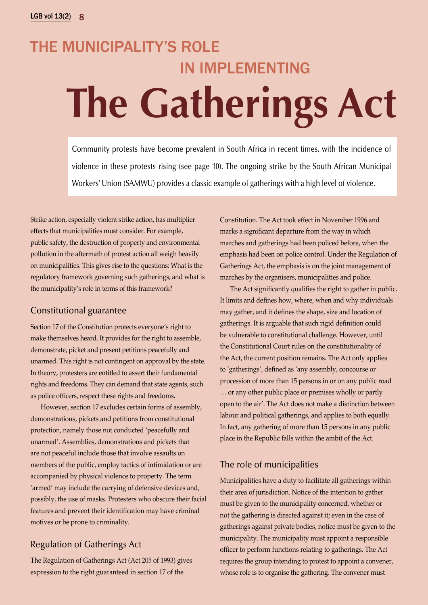# **The Gatherings Act** The municipality's role in implementing

Community protests have become prevalent in South Africa in recent times, with the incidence of violence in these protests rising (see page 10). The ongoing strike by the South African Municipal Workers' Union (SAMWU) provides a classic example of gatherings with a high level of violence.

Strike action, especially violent strike action, has multiplier effects that municipalities must consider. For example, public safety, the destruction of property and environmental pollution in the aftermath of protest action all weigh heavily on municipalities. This gives rise to the questions: What is the regulatory framework governing such gatherings, and what is the municipality's role in terms of this framework?

### Constitutional guarantee

Section 17 of the Constitution protects everyone's right to make themselves heard. It provides for the right to assemble, demonstrate, picket and present petitions peacefully and unarmed. This right is not contingent on approval by the state. In theory, protesters are entitled to assert their fundamental rights and freedoms. They can demand that state agents, such as police officers, respect these rights and freedoms.

However, section 17 excludes certain forms of assembly, demonstrations, pickets and petitions from constitutional protection, namely those not conducted 'peacefully and unarmed'. Assemblies, demonstrations and pickets that are not peaceful include those that involve assaults on members of the public, employ tactics of intimidation or are accompanied by physical violence to property. The term 'armed' may include the carrying of defensive devices and, possibly, the use of masks. Protesters who obscure their facial features and prevent their identification may have criminal motives or be prone to criminality.

# Regulation of Gatherings Act

The Regulation of Gatherings Act (Act 205 of 1993) gives expression to the right guaranteed in section 17 of the

Constitution. The Act took effect in November 1996 and marks a significant departure from the way in which marches and gatherings had been policed before, when the emphasis had been on police control. Under the Regulation of Gatherings Act, the emphasis is on the joint management of marches by the organisers, municipalities and police.

The Act significantly qualifies the right to gather in public. It limits and defines how, where, when and why individuals may gather, and it defines the shape, size and location of gatherings. It is arguable that such rigid definition could be vulnerable to constitutional challenge. However, until the Constitutional Court rules on the constitutionality of the Act, the current position remains. The Act only applies to 'gatherings', defined as 'any assembly, concourse or procession of more than 15 persons in or on any public road … or any other public place or premises wholly or partly open to the air'. The Act does not make a distinction between labour and political gatherings, and applies to both equally. In fact, any gathering of more than 15 persons in any public place in the Republic falls within the ambit of the Act.

# The role of municipalities

Municipalities have a duty to facilitate all gatherings within their area of jurisdiction. Notice of the intention to gather must be given to the municipality concerned, whether or not the gathering is directed against it; even in the case of gatherings against private bodies, notice must be given to the municipality. The municipality must appoint a responsible officer to perform functions relating to gatherings. The Act requires the group intending to protest to appoint a convener, whose role is to organise the gathering. The convener must